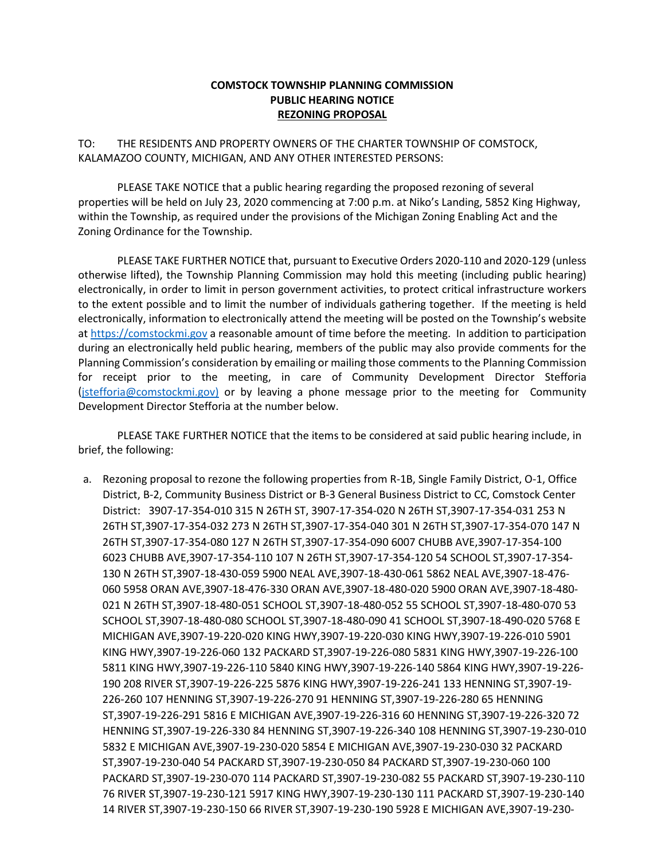## **COMSTOCK TOWNSHIP PLANNING COMMISSION PUBLIC HEARING NOTICE REZONING PROPOSAL**

TO: THE RESIDENTS AND PROPERTY OWNERS OF THE CHARTER TOWNSHIP OF COMSTOCK, KALAMAZOO COUNTY, MICHIGAN, AND ANY OTHER INTERESTED PERSONS:

PLEASE TAKE NOTICE that a public hearing regarding the proposed rezoning of several properties will be held on July 23, 2020 commencing at 7:00 p.m. at Niko's Landing, 5852 King Highway, within the Township, as required under the provisions of the Michigan Zoning Enabling Act and the Zoning Ordinance for the Township.

PLEASE TAKE FURTHER NOTICE that, pursuant to Executive Orders 2020-110 and 2020-129 (unless otherwise lifted), the Township Planning Commission may hold this meeting (including public hearing) electronically, in order to limit in person government activities, to protect critical infrastructure workers to the extent possible and to limit the number of individuals gathering together. If the meeting is held electronically, information to electronically attend the meeting will be posted on the Township's website at [https://comstockmi.gov](https://comstockmi.gov/) a reasonable amount of time before the meeting. In addition to participation during an electronically held public hearing, members of the public may also provide comments for the Planning Commission's consideration by emailing or mailing those comments to the Planning Commission for receipt prior to the meeting, in care of Community Development Director Stefforia [\(jstefforia@comstockmi.gov\)](mailto:jstefforia@comstockmi.gov)d) or by leaving a phone message prior to the meeting for Community Development Director Stefforia at the number below.

PLEASE TAKE FURTHER NOTICE that the items to be considered at said public hearing include, in brief, the following:

a. Rezoning proposal to rezone the following properties from R-1B, Single Family District, O-1, Office District, B-2, Community Business District or B-3 General Business District to CC, Comstock Center District: 3907-17-354-010 315 N 26TH ST, 3907-17-354-020 N 26TH ST,3907-17-354-031 253 N 26TH ST,3907-17-354-032 273 N 26TH ST,3907-17-354-040 301 N 26TH ST,3907-17-354-070 147 N 26TH ST,3907-17-354-080 127 N 26TH ST,3907-17-354-090 6007 CHUBB AVE,3907-17-354-100 6023 CHUBB AVE,3907-17-354-110 107 N 26TH ST,3907-17-354-120 54 SCHOOL ST,3907-17-354- 130 N 26TH ST,3907-18-430-059 5900 NEAL AVE,3907-18-430-061 5862 NEAL AVE,3907-18-476- 060 5958 ORAN AVE,3907-18-476-330 ORAN AVE,3907-18-480-020 5900 ORAN AVE,3907-18-480- 021 N 26TH ST,3907-18-480-051 SCHOOL ST,3907-18-480-052 55 SCHOOL ST,3907-18-480-070 53 SCHOOL ST,3907-18-480-080 SCHOOL ST,3907-18-480-090 41 SCHOOL ST,3907-18-490-020 5768 E MICHIGAN AVE,3907-19-220-020 KING HWY,3907-19-220-030 KING HWY,3907-19-226-010 5901 KING HWY,3907-19-226-060 132 PACKARD ST,3907-19-226-080 5831 KING HWY,3907-19-226-100 5811 KING HWY,3907-19-226-110 5840 KING HWY,3907-19-226-140 5864 KING HWY,3907-19-226- 190 208 RIVER ST,3907-19-226-225 5876 KING HWY,3907-19-226-241 133 HENNING ST,3907-19- 226-260 107 HENNING ST,3907-19-226-270 91 HENNING ST,3907-19-226-280 65 HENNING ST,3907-19-226-291 5816 E MICHIGAN AVE,3907-19-226-316 60 HENNING ST,3907-19-226-320 72 HENNING ST,3907-19-226-330 84 HENNING ST,3907-19-226-340 108 HENNING ST,3907-19-230-010 5832 E MICHIGAN AVE,3907-19-230-020 5854 E MICHIGAN AVE,3907-19-230-030 32 PACKARD ST,3907-19-230-040 54 PACKARD ST,3907-19-230-050 84 PACKARD ST,3907-19-230-060 100 PACKARD ST,3907-19-230-070 114 PACKARD ST,3907-19-230-082 55 PACKARD ST,3907-19-230-110 76 RIVER ST,3907-19-230-121 5917 KING HWY,3907-19-230-130 111 PACKARD ST,3907-19-230-140 14 RIVER ST,3907-19-230-150 66 RIVER ST,3907-19-230-190 5928 E MICHIGAN AVE,3907-19-230-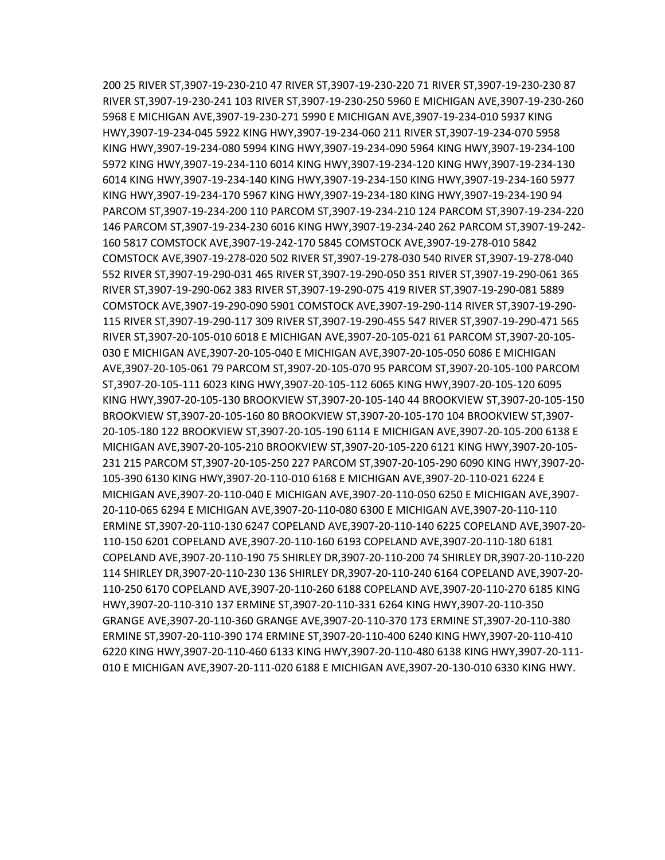200 25 RIVER ST,3907-19-230-210 47 RIVER ST,3907-19-230-220 71 RIVER ST,3907-19-230-230 87 RIVER ST,3907-19-230-241 103 RIVER ST,3907-19-230-250 5960 E MICHIGAN AVE,3907-19-230-260 5968 E MICHIGAN AVE,3907-19-230-271 5990 E MICHIGAN AVE,3907-19-234-010 5937 KING HWY,3907-19-234-045 5922 KING HWY,3907-19-234-060 211 RIVER ST,3907-19-234-070 5958 KING HWY,3907-19-234-080 5994 KING HWY,3907-19-234-090 5964 KING HWY,3907-19-234-100 5972 KING HWY,3907-19-234-110 6014 KING HWY,3907-19-234-120 KING HWY,3907-19-234-130 6014 KING HWY,3907-19-234-140 KING HWY,3907-19-234-150 KING HWY,3907-19-234-160 5977 KING HWY,3907-19-234-170 5967 KING HWY,3907-19-234-180 KING HWY,3907-19-234-190 94 PARCOM ST,3907-19-234-200 110 PARCOM ST,3907-19-234-210 124 PARCOM ST,3907-19-234-220 146 PARCOM ST,3907-19-234-230 6016 KING HWY,3907-19-234-240 262 PARCOM ST,3907-19-242- 160 5817 COMSTOCK AVE,3907-19-242-170 5845 COMSTOCK AVE,3907-19-278-010 5842 COMSTOCK AVE,3907-19-278-020 502 RIVER ST,3907-19-278-030 540 RIVER ST,3907-19-278-040 552 RIVER ST,3907-19-290-031 465 RIVER ST,3907-19-290-050 351 RIVER ST,3907-19-290-061 365 RIVER ST,3907-19-290-062 383 RIVER ST,3907-19-290-075 419 RIVER ST,3907-19-290-081 5889 COMSTOCK AVE,3907-19-290-090 5901 COMSTOCK AVE,3907-19-290-114 RIVER ST,3907-19-290- 115 RIVER ST,3907-19-290-117 309 RIVER ST,3907-19-290-455 547 RIVER ST,3907-19-290-471 565 RIVER ST,3907-20-105-010 6018 E MICHIGAN AVE,3907-20-105-021 61 PARCOM ST,3907-20-105- 030 E MICHIGAN AVE,3907-20-105-040 E MICHIGAN AVE,3907-20-105-050 6086 E MICHIGAN AVE,3907-20-105-061 79 PARCOM ST,3907-20-105-070 95 PARCOM ST,3907-20-105-100 PARCOM ST,3907-20-105-111 6023 KING HWY,3907-20-105-112 6065 KING HWY,3907-20-105-120 6095 KING HWY,3907-20-105-130 BROOKVIEW ST,3907-20-105-140 44 BROOKVIEW ST,3907-20-105-150 BROOKVIEW ST,3907-20-105-160 80 BROOKVIEW ST,3907-20-105-170 104 BROOKVIEW ST,3907- 20-105-180 122 BROOKVIEW ST,3907-20-105-190 6114 E MICHIGAN AVE,3907-20-105-200 6138 E MICHIGAN AVE,3907-20-105-210 BROOKVIEW ST,3907-20-105-220 6121 KING HWY,3907-20-105- 231 215 PARCOM ST,3907-20-105-250 227 PARCOM ST,3907-20-105-290 6090 KING HWY,3907-20- 105-390 6130 KING HWY,3907-20-110-010 6168 E MICHIGAN AVE,3907-20-110-021 6224 E MICHIGAN AVE,3907-20-110-040 E MICHIGAN AVE,3907-20-110-050 6250 E MICHIGAN AVE,3907- 20-110-065 6294 E MICHIGAN AVE,3907-20-110-080 6300 E MICHIGAN AVE,3907-20-110-110 ERMINE ST,3907-20-110-130 6247 COPELAND AVE,3907-20-110-140 6225 COPELAND AVE,3907-20- 110-150 6201 COPELAND AVE,3907-20-110-160 6193 COPELAND AVE,3907-20-110-180 6181 COPELAND AVE,3907-20-110-190 75 SHIRLEY DR,3907-20-110-200 74 SHIRLEY DR,3907-20-110-220 114 SHIRLEY DR,3907-20-110-230 136 SHIRLEY DR,3907-20-110-240 6164 COPELAND AVE,3907-20- 110-250 6170 COPELAND AVE,3907-20-110-260 6188 COPELAND AVE,3907-20-110-270 6185 KING HWY,3907-20-110-310 137 ERMINE ST,3907-20-110-331 6264 KING HWY,3907-20-110-350 GRANGE AVE,3907-20-110-360 GRANGE AVE,3907-20-110-370 173 ERMINE ST,3907-20-110-380 ERMINE ST,3907-20-110-390 174 ERMINE ST,3907-20-110-400 6240 KING HWY,3907-20-110-410 6220 KING HWY,3907-20-110-460 6133 KING HWY,3907-20-110-480 6138 KING HWY,3907-20-111- 010 E MICHIGAN AVE,3907-20-111-020 6188 E MICHIGAN AVE,3907-20-130-010 6330 KING HWY.